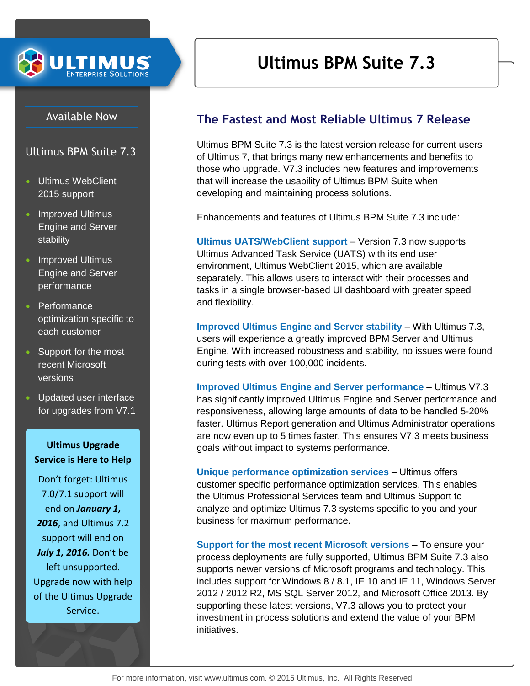

## Available Now

Ultimus BPM Suite 7.3

- Ultimus WebClient 2015 support
- Improved Ultimus Engine and Server stability
- Improved Ultimus Engine and Server performance
- Performance optimization specific to each customer
- Support for the most recent Microsoft versions
- Updated user interface for upgrades from V7.1

## **Ultimus Upgrade Service is Here to Help**

Don't forget: Ultimus 7.0/7.1 support will end on *January 1, 2016*, and Ultimus 7.2 support will end on *July 1, 2016.* Don't be left unsupported. Upgrade now with help of the Ultimus Upgrade Service.

# **Ultimus BPM Suite 7.3**

## **The Fastest and Most Reliable Ultimus 7 Release**

Ultimus BPM Suite 7.3 is the latest version release for current users of Ultimus 7, that brings many new enhancements and benefits to those who upgrade. V7.3 includes new features and improvements that will increase the usability of Ultimus BPM Suite when developing and maintaining process solutions.

Enhancements and features of Ultimus BPM Suite 7.3 include:

**Ultimus UATS/WebClient support** – Version 7.3 now supports Ultimus Advanced Task Service (UATS) with its end user environment, Ultimus WebClient 2015, which are available separately. This allows users to interact with their processes and tasks in a single browser-based UI dashboard with greater speed and flexibility.

**Improved Ultimus Engine and Server stability** – With Ultimus 7.3, users will experience a greatly improved BPM Server and Ultimus Engine. With increased robustness and stability, no issues were found during tests with over 100,000 incidents.

**Improved Ultimus Engine and Server performance** – Ultimus V7.3 has significantly improved Ultimus Engine and Server performance and responsiveness, allowing large amounts of data to be handled 5-20% faster. Ultimus Report generation and Ultimus Administrator operations are now even up to 5 times faster. This ensures V7.3 meets business goals without impact to systems performance.

**Unique performance optimization services** – Ultimus offers customer specific performance optimization services. This enables the Ultimus Professional Services team and Ultimus Support to analyze and optimize Ultimus 7.3 systems specific to you and your business for maximum performance.

**Support for the most recent Microsoft versions** – To ensure your process deployments are fully supported, Ultimus BPM Suite 7.3 also supports newer versions of Microsoft programs and technology. This includes support for Windows 8 / 8.1, IE 10 and IE 11, Windows Server 2012 / 2012 R2, MS SQL Server 2012, and Microsoft Office 2013. By supporting these latest versions, V7.3 allows you to protect your investment in process solutions and extend the value of your BPM initiatives.